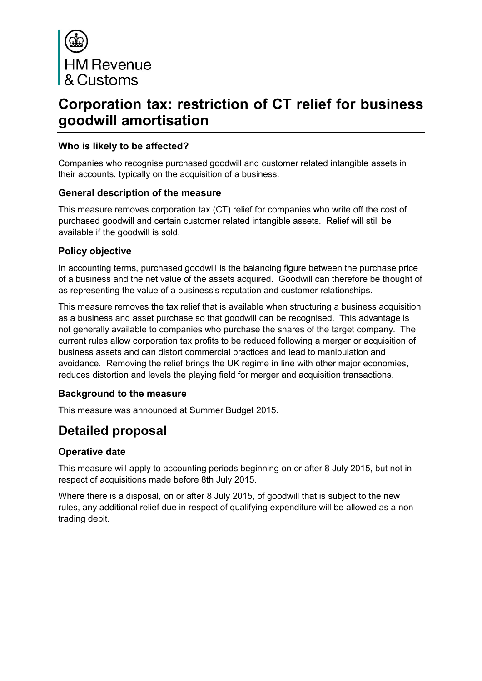

# **Corporation tax: restriction of CT relief for business goodwill amortisation**

#### **Who is likely to be affected?**

Companies who recognise purchased goodwill and customer related intangible assets in their accounts, typically on the acquisition of a business.

#### **General description of the measure**

This measure removes corporation tax (CT) relief for companies who write off the cost of purchased goodwill and certain customer related intangible assets. Relief will still be available if the goodwill is sold.

#### **Policy objective**

In accounting terms, purchased goodwill is the balancing figure between the purchase price of a business and the net value of the assets acquired. Goodwill can therefore be thought of as representing the value of a business's reputation and customer relationships.

This measure removes the tax relief that is available when structuring a business acquisition as a business and asset purchase so that goodwill can be recognised. This advantage is not generally available to companies who purchase the shares of the target company. The current rules allow corporation tax profits to be reduced following a merger or acquisition of business assets and can distort commercial practices and lead to manipulation and avoidance. Removing the relief brings the UK regime in line with other major economies, reduces distortion and levels the playing field for merger and acquisition transactions.

### **Background to the measure**

This measure was announced at Summer Budget 2015.

## **Detailed proposal**

#### **Operative date**

This measure will apply to accounting periods beginning on or after 8 July 2015, but not in respect of acquisitions made before 8th July 2015.

Where there is a disposal, on or after 8 July 2015, of goodwill that is subject to the new rules, any additional relief due in respect of qualifying expenditure will be allowed as a nontrading debit.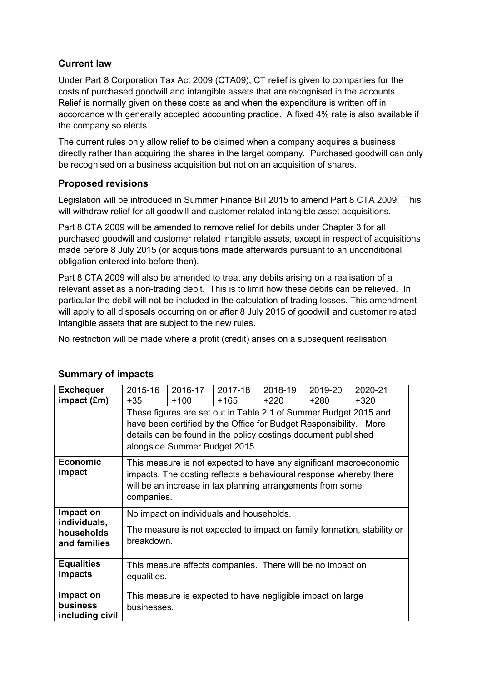### **Current law**

Under Part 8 Corporation Tax Act 2009 (CTA09), CT relief is given to companies for the costs of purchased goodwill and intangible assets that are recognised in the accounts. Relief is normally given on these costs as and when the expenditure is written off in accordance with generally accepted accounting practice. A fixed 4% rate is also available if the company so elects.

The current rules only allow relief to be claimed when a company acquires a business directly rather than acquiring the shares in the target company. Purchased goodwill can only be recognised on a business acquisition but not on an acquisition of shares.

#### **Proposed revisions**

Legislation will be introduced in Summer Finance Bill 2015 to amend Part 8 CTA 2009. This will withdraw relief for all goodwill and customer related intangible asset acquisitions.

Part 8 CTA 2009 will be amended to remove relief for debits under Chapter 3 for all purchased goodwill and customer related intangible assets, except in respect of acquisitions made before 8 July 2015 (or acquisitions made afterwards pursuant to an unconditional obligation entered into before then).

Part 8 CTA 2009 will also be amended to treat any debits arising on a realisation of a relevant asset as a non-trading debit. This is to limit how these debits can be relieved. In particular the debit will not be included in the calculation of trading losses. This amendment will apply to all disposals occurring on or after 8 July 2015 of goodwill and customer related intangible assets that are subject to the new rules.

No restriction will be made where a profit (credit) arises on a subsequent realisation.

| <b>Exchequer</b>                           | 2015-16                                                                                                                                                                                                                                  | 2016-17 | 2017-18                                  | 2018-19 | 2019-20                                                    | 2020-21                                                                 |
|--------------------------------------------|------------------------------------------------------------------------------------------------------------------------------------------------------------------------------------------------------------------------------------------|---------|------------------------------------------|---------|------------------------------------------------------------|-------------------------------------------------------------------------|
| impact (Em)                                | $+35$                                                                                                                                                                                                                                    | $+100$  | $+165$                                   | $+220$  | $+280$                                                     | $+320$                                                                  |
|                                            | These figures are set out in Table 2.1 of Summer Budget 2015 and<br>have been certified by the Office for Budget Responsibility. More<br>details can be found in the policy costings document published<br>alongside Summer Budget 2015. |         |                                          |         |                                                            |                                                                         |
| <b>Economic</b>                            | This measure is not expected to have any significant macroeconomic<br>impacts. The costing reflects a behavioural response whereby there                                                                                                 |         |                                          |         |                                                            |                                                                         |
| impact                                     | companies.                                                                                                                                                                                                                               |         |                                          |         | will be an increase in tax planning arrangements from some |                                                                         |
| Impact on                                  |                                                                                                                                                                                                                                          |         | No impact on individuals and households. |         |                                                            |                                                                         |
| individuals,<br>households<br>and families | breakdown.                                                                                                                                                                                                                               |         |                                          |         |                                                            | The measure is not expected to impact on family formation, stability or |
| <b>Equalities</b><br>impacts               | equalities.                                                                                                                                                                                                                              |         |                                          |         | This measure affects companies. There will be no impact on |                                                                         |
| Impact on                                  | This measure is expected to have negligible impact on large                                                                                                                                                                              |         |                                          |         |                                                            |                                                                         |
| <b>business</b><br>including civil         | businesses.                                                                                                                                                                                                                              |         |                                          |         |                                                            |                                                                         |

#### **Summary of impacts**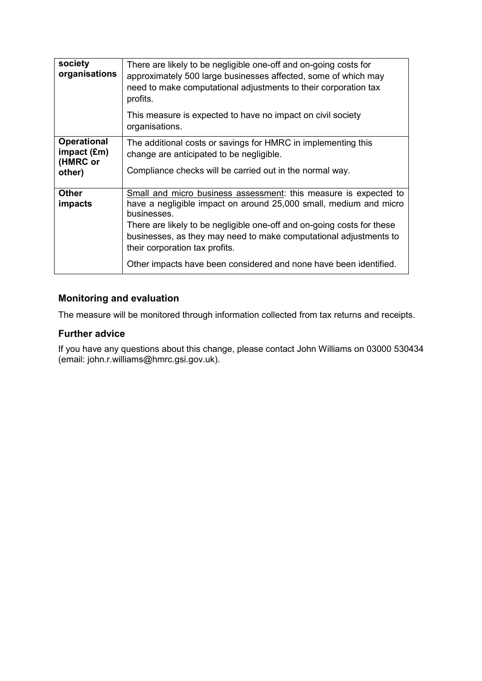| society<br>organisations                                | There are likely to be negligible one-off and on-going costs for<br>approximately 500 large businesses affected, some of which may<br>need to make computational adjustments to their corporation tax<br>profits.                                                                                                                                                                                          |  |  |  |
|---------------------------------------------------------|------------------------------------------------------------------------------------------------------------------------------------------------------------------------------------------------------------------------------------------------------------------------------------------------------------------------------------------------------------------------------------------------------------|--|--|--|
|                                                         | This measure is expected to have no impact on civil society<br>organisations.                                                                                                                                                                                                                                                                                                                              |  |  |  |
| <b>Operational</b><br>impact (Em)<br>(HMRC or<br>other) | The additional costs or savings for HMRC in implementing this<br>change are anticipated to be negligible.<br>Compliance checks will be carried out in the normal way.                                                                                                                                                                                                                                      |  |  |  |
| <b>Other</b><br><b>impacts</b>                          | Small and micro business assessment: this measure is expected to<br>have a negligible impact on around 25,000 small, medium and micro<br>businesses.<br>There are likely to be negligible one-off and on-going costs for these<br>businesses, as they may need to make computational adjustments to<br>their corporation tax profits.<br>Other impacts have been considered and none have been identified. |  |  |  |

### **Monitoring and evaluation**

The measure will be monitored through information collected from tax returns and receipts.

#### **Further advice**

If you have any questions about this change, please contact John Williams on 03000 530434 (email: john.r.williams@hmrc.gsi.gov.uk).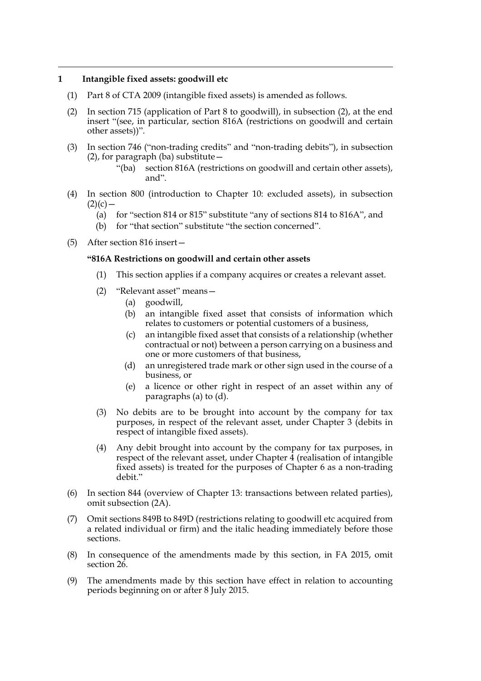#### **1 Intangible fixed assets: goodwill etc**

- (1) Part 8 of CTA 2009 (intangible fixed assets) is amended as follows.
- (2) In section 715 (application of Part 8 to goodwill), in subsection (2), at the end insert "(see, in particular, section 816A (restrictions on goodwill and certain other assets))".
- (3) In section 746 ("non-trading credits" and "non-trading debits"), in subsection (2), for paragraph (ba) substitute—
	- "(ba) section 816A (restrictions on goodwill and certain other assets), and".
- (4) In section 800 (introduction to Chapter 10: excluded assets), in subsection  $(2)(c)$  —
	- (a) for "section 814 or 815" substitute "any of sections 814 to 816A", and
	- (b) for "that section" substitute "the section concerned".
- (5) After section 816 insert—

#### **"816A Restrictions on goodwill and certain other assets**

- (1) This section applies if a company acquires or creates a relevant asset.
- (2) "Relevant asset" means—
	- (a) goodwill,
	- (b) an intangible fixed asset that consists of information which relates to customers or potential customers of a business,
	- (c) an intangible fixed asset that consists of a relationship (whether contractual or not) between a person carrying on a business and one or more customers of that business,
	- (d) an unregistered trade mark or other sign used in the course of a business, or
	- (e) a licence or other right in respect of an asset within any of paragraphs (a) to (d).
- (3) No debits are to be brought into account by the company for tax purposes, in respect of the relevant asset, under Chapter 3 (debits in respect of intangible fixed assets).
- (4) Any debit brought into account by the company for tax purposes, in respect of the relevant asset, under Chapter  $\frac{1}{4}$  (realisation of intangible fixed assets) is treated for the purposes of Chapter 6 as a non-trading debit."
- (6) In section 844 (overview of Chapter 13: transactions between related parties), omit subsection (2A).
- (7) Omit sections 849B to 849D (restrictions relating to goodwill etc acquired from a related individual or firm) and the italic heading immediately before those sections.
- (8) In consequence of the amendments made by this section, in FA 2015, omit section 26.
- (9) The amendments made by this section have effect in relation to accounting periods beginning on or after 8 July 2015.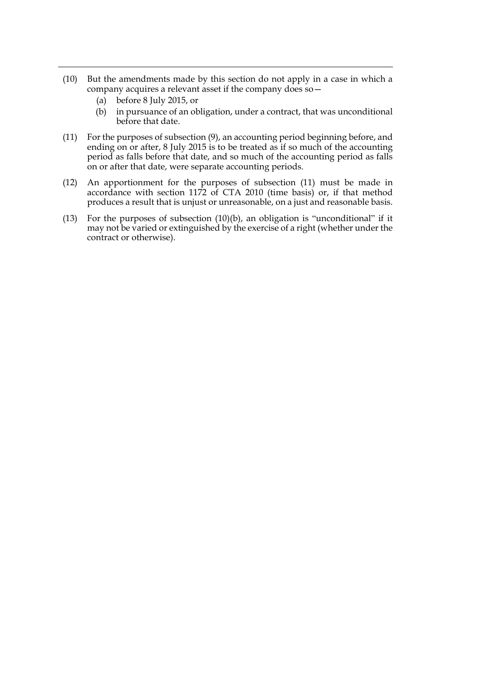- (10) But the amendments made by this section do not apply in a case in which a company acquires a relevant asset if the company does so—
	- (a) before 8 July 2015, or
	- (b) in pursuance of an obligation, under a contract, that was unconditional before that date.
- (11) For the purposes of subsection (9), an accounting period beginning before, and ending on or after, 8 July 2015 is to be treated as if so much of the accounting period as falls before that date, and so much of the accounting period as falls on or after that date, were separate accounting periods.
- (12) An apportionment for the purposes of subsection (11) must be made in accordance with section 1172 of CTA 2010 (time basis) or, if that method produces a result that is unjust or unreasonable, on a just and reasonable basis.
- (13) For the purposes of subsection (10)(b), an obligation is "unconditional" if it may not be varied or extinguished by the exercise of a right (whether under the contract or otherwise).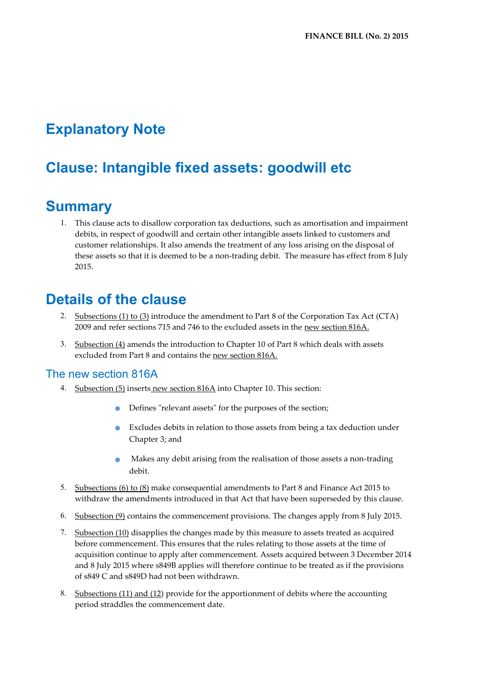# **Explanatory Note**

# **Clause: Intangible fixed assets: goodwill etc**

### **Summary**

1. This clause acts to disallow corporation tax deductions, such as amortisation and impairment debits, in respect of goodwill and certain other intangible assets linked to customers and customer relationships. It also amends the treatment of any loss arising on the disposal of these assets so that it is deemed to be a non-trading debit. The measure has effect from 8 July 2015.

## **Details of the clause**

- 2. Subsections (1) to (3) introduce the amendment to Part 8 of the Corporation Tax Act (CTA) 2009 and refer sections 715 and 746 to the excluded assets in the new section 816A.
- 3. Subsection (4) amends the introduction to Chapter 10 of Part 8 which deals with assets excluded from Part 8 and contains the new section 816A.

#### The new section 816A

- 4. Subsection (5) inserts new section 816A into Chapter 10. This section:
	- Defines "relevant assets" for the purposes of the section;
	- Excludes debits in relation to those assets from being a tax deduction under Chapter 3; and
	- Makes any debit arising from the realisation of those assets a non-trading debit.
- 5. Subsections (6) to (8) make consequential amendments to Part 8 and Finance Act 2015 to withdraw the amendments introduced in that Act that have been superseded by this clause.
- 6. Subsection (9) contains the commencement provisions. The changes apply from 8 July 2015.
- 7. Subsection (10) disapplies the changes made by this measure to assets treated as acquired before commencement. This ensures that the rules relating to those assets at the time of acquisition continue to apply after commencement. Assets acquired between 3 December 2014 and 8 July 2015 where s849B applies will therefore continue to be treated as if the provisions of s849 C and s849D had not been withdrawn.
- 8. Subsections (11) and (12) provide for the apportionment of debits where the accounting period straddles the commencement date.